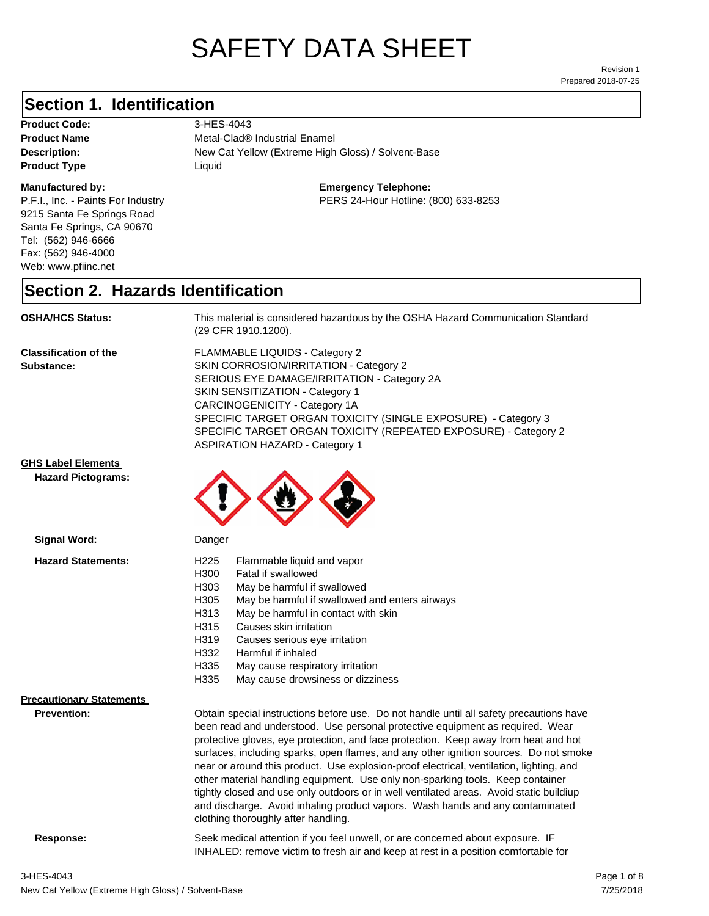# SAFETY DATA SHEET

Prepared 2018-07-25 Revision 1

## **Section 1. Identification**

Product Code: 3-HES-4043 **Product Type Liquid Liquid** 

#### **Manufactured by:**

P.F.I., Inc. - Paints For Industry 9215 Santa Fe Springs Road Santa Fe Springs, CA 90670 Tel: (562) 946-6666 Fax: (562) 946-4000 Web: www.pfiinc.net

**Description:** New Cat Yellow (Extreme High Gloss) / Solvent-Base **Product Name** Metal-Clad<sup>®</sup> Industrial Enamel

**Emergency Telephone:**

PERS 24-Hour Hotline: (800) 633-8253

#### **Section 2. Hazards Identification**

**OSHA/HCS Status:** This material is considered hazardous by the OSHA Hazard Communication Standard (29 CFR 1910.1200).

**Classification of the Substance:**

FLAMMABLE LIQUIDS - Category 2 SKIN CORROSION/IRRITATION - Category 2 SERIOUS EYE DAMAGE/IRRITATION - Category 2A SKIN SENSITIZATION - Category 1 CARCINOGENICITY - Category 1A SPECIFIC TARGET ORGAN TOXICITY (SINGLE EXPOSURE) - Category 3 SPECIFIC TARGET ORGAN TOXICITY (REPEATED EXPOSURE) - Category 2 ASPIRATION HAZARD - Category 1

#### **GHS Label Elements**

**Signal Word:**

**Hazard Pictograms:**



| <b>Hazard Statements:</b>       | H <sub>225</sub><br>Flammable liquid and vapor                                          |  |
|---------------------------------|-----------------------------------------------------------------------------------------|--|
|                                 | H300<br>Fatal if swallowed                                                              |  |
|                                 | H303<br>May be harmful if swallowed                                                     |  |
|                                 | H305<br>May be harmful if swallowed and enters airways                                  |  |
|                                 | May be harmful in contact with skin<br>H313                                             |  |
|                                 | H315<br>Causes skin irritation                                                          |  |
|                                 | H319<br>Causes serious eye irritation                                                   |  |
|                                 | H332<br>Harmful if inhaled                                                              |  |
|                                 | H335<br>May cause respiratory irritation                                                |  |
|                                 | H335<br>May cause drowsiness or dizziness                                               |  |
| <b>Precautionary Statements</b> |                                                                                         |  |
| <b>Prevention:</b>              | Obtain special instructions before use. Do not handle until all safety precautions have |  |
|                                 | been read and understood. Use personal protective equipment as required. Wear           |  |
|                                 | protective gloves, eye protection, and face protection. Keep away from heat and hot     |  |
|                                 | surfaces, including sparks, open flames, and any other ignition sources. Do not smoke   |  |
|                                 | near or around this product. Use explosion-proof electrical, ventilation, lighting, and |  |
|                                 | other material handling equipment. Use only non-sparking tools. Keep container          |  |
|                                 | tightly closed and use only outdoors or in well ventilated areas. Avoid static buildiup |  |
|                                 | and discharge. Avoid inhaling product vapors. Wash hands and any contaminated           |  |

clothing thoroughly after handling.

**Response:** Seek medical attention if you feel unwell, or are concerned about exposure. IF INHALED: remove victim to fresh air and keep at rest in a position comfortable for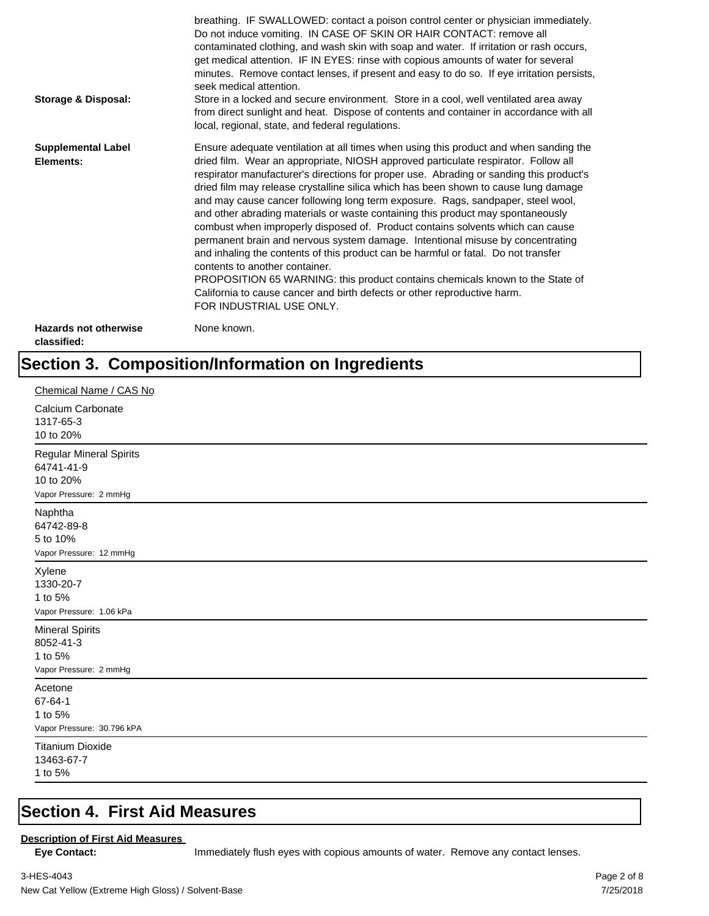| Storage & Disposal:                         | breathing. IF SWALLOWED: contact a poison control center or physician immediately.<br>Do not induce vomiting. IN CASE OF SKIN OR HAIR CONTACT: remove all<br>contaminated clothing, and wash skin with soap and water. If irritation or rash occurs,<br>get medical attention. IF IN EYES: rinse with copious amounts of water for several<br>minutes. Remove contact lenses, if present and easy to do so. If eye irritation persists,<br>seek medical attention.<br>Store in a locked and secure environment. Store in a cool, well ventilated area away<br>from direct sunlight and heat. Dispose of contents and container in accordance with all<br>local, regional, state, and federal regulations.                                                                                                                                                                                                                                                                                                                |
|---------------------------------------------|--------------------------------------------------------------------------------------------------------------------------------------------------------------------------------------------------------------------------------------------------------------------------------------------------------------------------------------------------------------------------------------------------------------------------------------------------------------------------------------------------------------------------------------------------------------------------------------------------------------------------------------------------------------------------------------------------------------------------------------------------------------------------------------------------------------------------------------------------------------------------------------------------------------------------------------------------------------------------------------------------------------------------|
| <b>Supplemental Label</b><br>Elements:      | Ensure adequate ventilation at all times when using this product and when sanding the<br>dried film. Wear an appropriate, NIOSH approved particulate respirator. Follow all<br>respirator manufacturer's directions for proper use. Abrading or sanding this product's<br>dried film may release crystalline silica which has been shown to cause lung damage<br>and may cause cancer following long term exposure. Rags, sandpaper, steel wool,<br>and other abrading materials or waste containing this product may spontaneously<br>combust when improperly disposed of. Product contains solvents which can cause<br>permanent brain and nervous system damage. Intentional misuse by concentrating<br>and inhaling the contents of this product can be harmful or fatal. Do not transfer<br>contents to another container.<br>PROPOSITION 65 WARNING: this product contains chemicals known to the State of<br>California to cause cancer and birth defects or other reproductive harm.<br>FOR INDUSTRIAL USE ONLY. |
| <b>Hazards not otherwise</b><br>classified: | None known.                                                                                                                                                                                                                                                                                                                                                                                                                                                                                                                                                                                                                                                                                                                                                                                                                                                                                                                                                                                                              |

# **Section 3. Composition/Information on Ingredients**

| Chemical Name / CAS No                                                              |
|-------------------------------------------------------------------------------------|
| Calcium Carbonate<br>1317-65-3<br>10 to 20%                                         |
| <b>Regular Mineral Spirits</b><br>64741-41-9<br>10 to 20%<br>Vapor Pressure: 2 mmHg |
| Naphtha<br>64742-89-8<br>5 to 10%<br>Vapor Pressure: 12 mmHg                        |
| Xylene<br>1330-20-7<br>1 to 5%<br>Vapor Pressure: 1.06 kPa                          |
| <b>Mineral Spirits</b><br>8052-41-3<br>1 to 5%<br>Vapor Pressure: 2 mmHg            |
| Acetone<br>67-64-1<br>1 to 5%<br>Vapor Pressure: 30.796 kPA                         |
| <b>Titanium Dioxide</b><br>13463-67-7<br>1 to 5%                                    |

#### **Section 4. First Aid Measures**

#### **Description of First Aid Measures**

Eye Contact: **IMMED** Immediately flush eyes with copious amounts of water. Remove any contact lenses.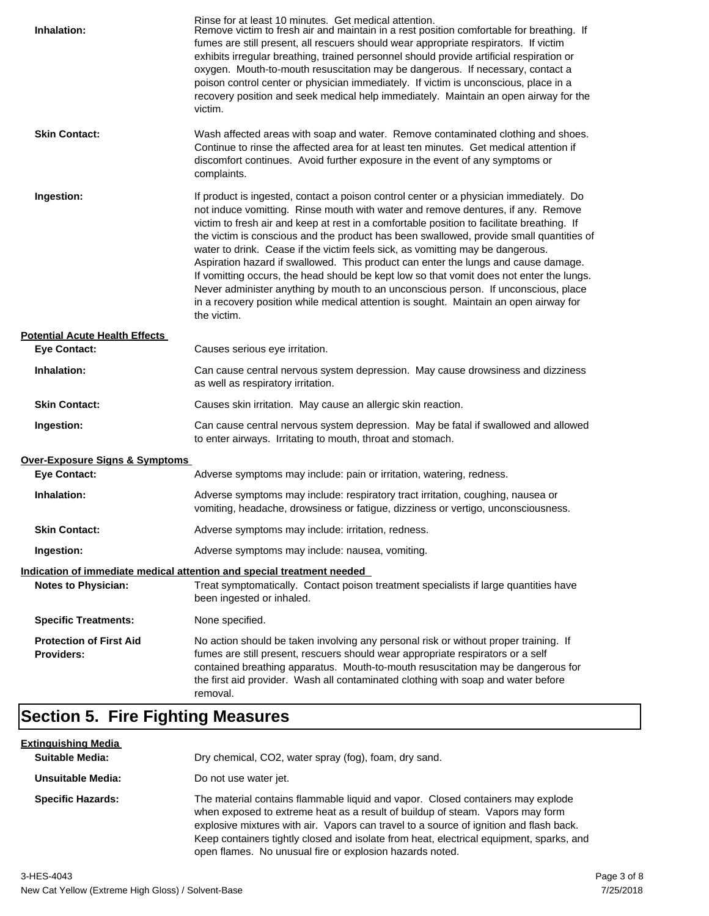| Inhalation:                                         | Rinse for at least 10 minutes. Get medical attention.<br>Remove victim to fresh air and maintain in a rest position comfortable for breathing. If<br>fumes are still present, all rescuers should wear appropriate respirators. If victim<br>exhibits irregular breathing, trained personnel should provide artificial respiration or<br>oxygen. Mouth-to-mouth resuscitation may be dangerous. If necessary, contact a<br>poison control center or physician immediately. If victim is unconscious, place in a<br>recovery position and seek medical help immediately. Maintain an open airway for the<br>victim.                                                                                                                                                                                                                    |
|-----------------------------------------------------|---------------------------------------------------------------------------------------------------------------------------------------------------------------------------------------------------------------------------------------------------------------------------------------------------------------------------------------------------------------------------------------------------------------------------------------------------------------------------------------------------------------------------------------------------------------------------------------------------------------------------------------------------------------------------------------------------------------------------------------------------------------------------------------------------------------------------------------|
| <b>Skin Contact:</b>                                | Wash affected areas with soap and water. Remove contaminated clothing and shoes.<br>Continue to rinse the affected area for at least ten minutes. Get medical attention if<br>discomfort continues. Avoid further exposure in the event of any symptoms or<br>complaints.                                                                                                                                                                                                                                                                                                                                                                                                                                                                                                                                                             |
| Ingestion:                                          | If product is ingested, contact a poison control center or a physician immediately. Do<br>not induce vomitting. Rinse mouth with water and remove dentures, if any. Remove<br>victim to fresh air and keep at rest in a comfortable position to facilitate breathing. If<br>the victim is conscious and the product has been swallowed, provide small quantities of<br>water to drink. Cease if the victim feels sick, as vomitting may be dangerous.<br>Aspiration hazard if swallowed. This product can enter the lungs and cause damage.<br>If vomitting occurs, the head should be kept low so that vomit does not enter the lungs.<br>Never administer anything by mouth to an unconscious person. If unconscious, place<br>in a recovery position while medical attention is sought. Maintain an open airway for<br>the victim. |
| <b>Potential Acute Health Effects</b>               |                                                                                                                                                                                                                                                                                                                                                                                                                                                                                                                                                                                                                                                                                                                                                                                                                                       |
| <b>Eye Contact:</b>                                 | Causes serious eye irritation.                                                                                                                                                                                                                                                                                                                                                                                                                                                                                                                                                                                                                                                                                                                                                                                                        |
| Inhalation:                                         | Can cause central nervous system depression. May cause drowsiness and dizziness<br>as well as respiratory irritation.                                                                                                                                                                                                                                                                                                                                                                                                                                                                                                                                                                                                                                                                                                                 |
| <b>Skin Contact:</b>                                | Causes skin irritation. May cause an allergic skin reaction.                                                                                                                                                                                                                                                                                                                                                                                                                                                                                                                                                                                                                                                                                                                                                                          |
| Ingestion:                                          | Can cause central nervous system depression. May be fatal if swallowed and allowed<br>to enter airways. Irritating to mouth, throat and stomach.                                                                                                                                                                                                                                                                                                                                                                                                                                                                                                                                                                                                                                                                                      |
| <b>Over-Exposure Signs &amp; Symptoms</b>           |                                                                                                                                                                                                                                                                                                                                                                                                                                                                                                                                                                                                                                                                                                                                                                                                                                       |
| <b>Eye Contact:</b>                                 | Adverse symptoms may include: pain or irritation, watering, redness.                                                                                                                                                                                                                                                                                                                                                                                                                                                                                                                                                                                                                                                                                                                                                                  |
| Inhalation:                                         | Adverse symptoms may include: respiratory tract irritation, coughing, nausea or<br>vomiting, headache, drowsiness or fatigue, dizziness or vertigo, unconsciousness.                                                                                                                                                                                                                                                                                                                                                                                                                                                                                                                                                                                                                                                                  |
| <b>Skin Contact:</b>                                | Adverse symptoms may include: irritation, redness.                                                                                                                                                                                                                                                                                                                                                                                                                                                                                                                                                                                                                                                                                                                                                                                    |
| Ingestion:                                          | Adverse symptoms may include: nausea, vomiting.                                                                                                                                                                                                                                                                                                                                                                                                                                                                                                                                                                                                                                                                                                                                                                                       |
|                                                     | Indication of immediate medical attention and special treatment needed                                                                                                                                                                                                                                                                                                                                                                                                                                                                                                                                                                                                                                                                                                                                                                |
| <b>Notes to Physician:</b>                          | Treat symptomatically. Contact poison treatment specialists if large quantities have<br>been ingested or inhaled.                                                                                                                                                                                                                                                                                                                                                                                                                                                                                                                                                                                                                                                                                                                     |
| <b>Specific Treatments:</b>                         | None specified.                                                                                                                                                                                                                                                                                                                                                                                                                                                                                                                                                                                                                                                                                                                                                                                                                       |
| <b>Protection of First Aid</b><br><b>Providers:</b> | No action should be taken involving any personal risk or without proper training. If<br>fumes are still present, rescuers should wear appropriate respirators or a self<br>contained breathing apparatus. Mouth-to-mouth resuscitation may be dangerous for<br>the first aid provider. Wash all contaminated clothing with soap and water before<br>removal.                                                                                                                                                                                                                                                                                                                                                                                                                                                                          |

# **Section 5. Fire Fighting Measures**

| <u>Extinguishing Media</u> |                                                                                                                                                                                                                                                                                                                                                                                                                   |
|----------------------------|-------------------------------------------------------------------------------------------------------------------------------------------------------------------------------------------------------------------------------------------------------------------------------------------------------------------------------------------------------------------------------------------------------------------|
| <b>Suitable Media:</b>     | Dry chemical, CO2, water spray (fog), foam, dry sand.                                                                                                                                                                                                                                                                                                                                                             |
| Unsuitable Media:          | Do not use water jet.                                                                                                                                                                                                                                                                                                                                                                                             |
| <b>Specific Hazards:</b>   | The material contains flammable liquid and vapor. Closed containers may explode<br>when exposed to extreme heat as a result of buildup of steam. Vapors may form<br>explosive mixtures with air. Vapors can travel to a source of ignition and flash back.<br>Keep containers tightly closed and isolate from heat, electrical equipment, sparks, and<br>open flames. No unusual fire or explosion hazards noted. |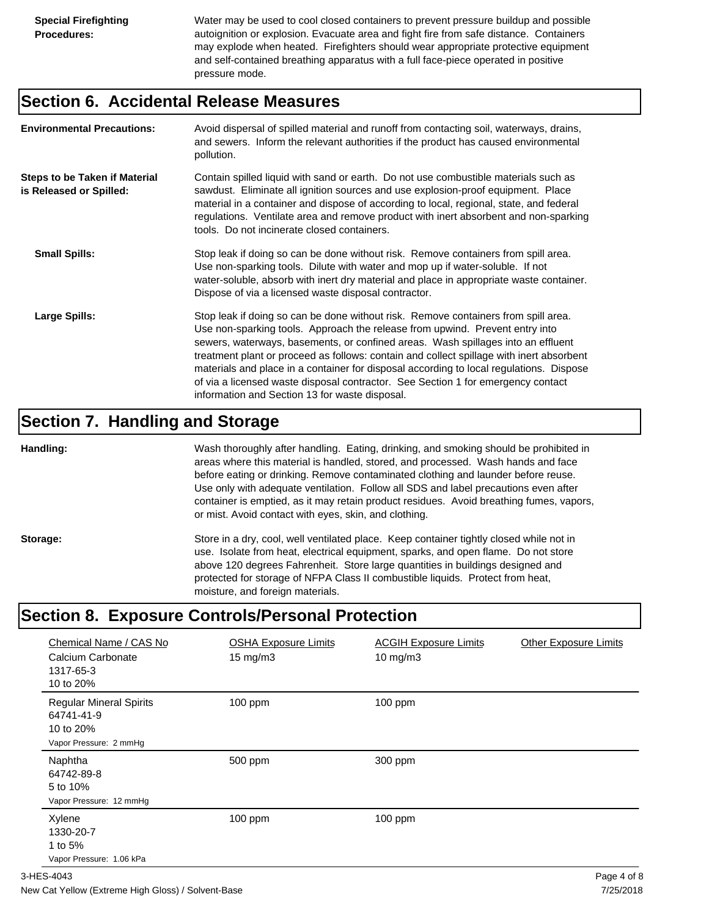Water may be used to cool closed containers to prevent pressure buildup and possible autoignition or explosion. Evacuate area and fight fire from safe distance. Containers may explode when heated. Firefighters should wear appropriate protective equipment and self-contained breathing apparatus with a full face-piece operated in positive pressure mode.

#### **Section 6. Accidental Release Measures**

| <b>Environmental Precautions:</b>                               | Avoid dispersal of spilled material and runoff from contacting soil, waterways, drains,<br>and sewers. Inform the relevant authorities if the product has caused environmental<br>pollution.                                                                                                                                                                                                                                                                                                                                                                                        |
|-----------------------------------------------------------------|-------------------------------------------------------------------------------------------------------------------------------------------------------------------------------------------------------------------------------------------------------------------------------------------------------------------------------------------------------------------------------------------------------------------------------------------------------------------------------------------------------------------------------------------------------------------------------------|
| <b>Steps to be Taken if Material</b><br>is Released or Spilled: | Contain spilled liquid with sand or earth. Do not use combustible materials such as<br>sawdust. Eliminate all ignition sources and use explosion-proof equipment. Place<br>material in a container and dispose of according to local, regional, state, and federal<br>regulations. Ventilate area and remove product with inert absorbent and non-sparking<br>tools. Do not incinerate closed containers.                                                                                                                                                                           |
| <b>Small Spills:</b>                                            | Stop leak if doing so can be done without risk. Remove containers from spill area.<br>Use non-sparking tools. Dilute with water and mop up if water-soluble. If not<br>water-soluble, absorb with inert dry material and place in appropriate waste container.<br>Dispose of via a licensed waste disposal contractor.                                                                                                                                                                                                                                                              |
| Large Spills:                                                   | Stop leak if doing so can be done without risk. Remove containers from spill area.<br>Use non-sparking tools. Approach the release from upwind. Prevent entry into<br>sewers, waterways, basements, or confined areas. Wash spillages into an effluent<br>treatment plant or proceed as follows: contain and collect spillage with inert absorbent<br>materials and place in a container for disposal according to local regulations. Dispose<br>of via a licensed waste disposal contractor. See Section 1 for emergency contact<br>information and Section 13 for waste disposal. |

#### **Section 7. Handling and Storage**

**Handling:** Wash thoroughly after handling. Eating, drinking, and smoking should be prohibited in areas where this material is handled, stored, and processed. Wash hands and face before eating or drinking. Remove contaminated clothing and launder before reuse. Use only with adequate ventilation. Follow all SDS and label precautions even after container is emptied, as it may retain product residues. Avoid breathing fumes, vapors, or mist. Avoid contact with eyes, skin, and clothing.

Storage: Store in a dry, cool, well ventilated place. Keep container tightly closed while not in use. Isolate from heat, electrical equipment, sparks, and open flame. Do not store above 120 degrees Fahrenheit. Store large quantities in buildings designed and protected for storage of NFPA Class II combustible liquids. Protect from heat, moisture, and foreign materials.

# **Section 8. Exposure Controls/Personal Protection**

| Chemical Name / CAS No<br>Calcium Carbonate<br>1317-65-3<br>10 to 20%               | <b>OSHA Exposure Limits</b><br>$15 \text{ mg/m}$ | <b>ACGIH Exposure Limits</b><br>10 mg/m $3$ | <b>Other Exposure Limits</b> |
|-------------------------------------------------------------------------------------|--------------------------------------------------|---------------------------------------------|------------------------------|
| <b>Regular Mineral Spirits</b><br>64741-41-9<br>10 to 20%<br>Vapor Pressure: 2 mmHg | $100$ ppm                                        | $100$ ppm                                   |                              |
| Naphtha<br>64742-89-8<br>5 to 10%<br>Vapor Pressure: 12 mmHg                        | 500 ppm                                          | 300 ppm                                     |                              |
| Xylene<br>1330-20-7<br>1 to 5%<br>Vapor Pressure: 1.06 kPa                          | $100$ ppm                                        | $100$ ppm                                   |                              |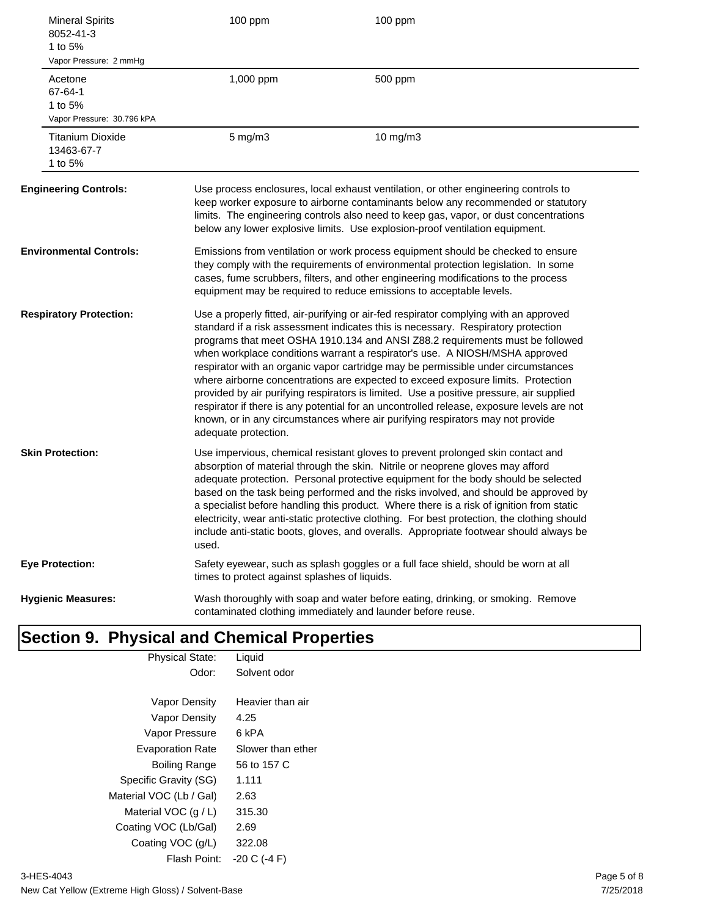| <b>Mineral Spirits</b><br>8052-41-3<br>1 to 5%<br>Vapor Pressure: 2 mmHg | 100 ppm                                       | 100 ppm                                                                                                                                                                                                                                                                                                                                                                                                                                                                                                                                                                                                                                                                                                                                                                                       |
|--------------------------------------------------------------------------|-----------------------------------------------|-----------------------------------------------------------------------------------------------------------------------------------------------------------------------------------------------------------------------------------------------------------------------------------------------------------------------------------------------------------------------------------------------------------------------------------------------------------------------------------------------------------------------------------------------------------------------------------------------------------------------------------------------------------------------------------------------------------------------------------------------------------------------------------------------|
| Acetone<br>67-64-1<br>1 to 5%<br>Vapor Pressure: 30.796 kPA              | 1,000 ppm                                     | 500 ppm                                                                                                                                                                                                                                                                                                                                                                                                                                                                                                                                                                                                                                                                                                                                                                                       |
| <b>Titanium Dioxide</b><br>13463-67-7<br>1 to 5%                         | $5$ mg/m $3$                                  | 10 mg/m3                                                                                                                                                                                                                                                                                                                                                                                                                                                                                                                                                                                                                                                                                                                                                                                      |
| <b>Engineering Controls:</b>                                             |                                               | Use process enclosures, local exhaust ventilation, or other engineering controls to<br>keep worker exposure to airborne contaminants below any recommended or statutory<br>limits. The engineering controls also need to keep gas, vapor, or dust concentrations<br>below any lower explosive limits. Use explosion-proof ventilation equipment.                                                                                                                                                                                                                                                                                                                                                                                                                                              |
| <b>Environmental Controls:</b>                                           |                                               | Emissions from ventilation or work process equipment should be checked to ensure<br>they comply with the requirements of environmental protection legislation. In some<br>cases, fume scrubbers, filters, and other engineering modifications to the process<br>equipment may be required to reduce emissions to acceptable levels.                                                                                                                                                                                                                                                                                                                                                                                                                                                           |
| <b>Respiratory Protection:</b>                                           | adequate protection.                          | Use a properly fitted, air-purifying or air-fed respirator complying with an approved<br>standard if a risk assessment indicates this is necessary. Respiratory protection<br>programs that meet OSHA 1910.134 and ANSI Z88.2 requirements must be followed<br>when workplace conditions warrant a respirator's use. A NIOSH/MSHA approved<br>respirator with an organic vapor cartridge may be permissible under circumstances<br>where airborne concentrations are expected to exceed exposure limits. Protection<br>provided by air purifying respirators is limited. Use a positive pressure, air supplied<br>respirator if there is any potential for an uncontrolled release, exposure levels are not<br>known, or in any circumstances where air purifying respirators may not provide |
| <b>Skin Protection:</b>                                                  | used.                                         | Use impervious, chemical resistant gloves to prevent prolonged skin contact and<br>absorption of material through the skin. Nitrile or neoprene gloves may afford<br>adequate protection. Personal protective equipment for the body should be selected<br>based on the task being performed and the risks involved, and should be approved by<br>a specialist before handling this product. Where there is a risk of ignition from static<br>electricity, wear anti-static protective clothing. For best protection, the clothing should<br>include anti-static boots, gloves, and overalls. Appropriate footwear should always be                                                                                                                                                           |
| <b>Eye Protection:</b>                                                   | times to protect against splashes of liquids. | Safety eyewear, such as splash goggles or a full face shield, should be worn at all                                                                                                                                                                                                                                                                                                                                                                                                                                                                                                                                                                                                                                                                                                           |
| <b>Hygienic Measures:</b>                                                |                                               | Wash thoroughly with soap and water before eating, drinking, or smoking. Remove<br>contaminated clothing immediately and launder before reuse.                                                                                                                                                                                                                                                                                                                                                                                                                                                                                                                                                                                                                                                |

#### **Section 9. Physical and Chemical Properties** Physical State: Liquid

| Solvent odor      |
|-------------------|
| Heavier than air  |
| 4.25              |
| 6 kPA             |
| Slower than ether |
| 56 to 157 C       |
| 1.111             |
| 2.63              |
| 315.30            |
| 2.69              |
| 322.08            |
| $-20 C (-4 F)$    |
|                   |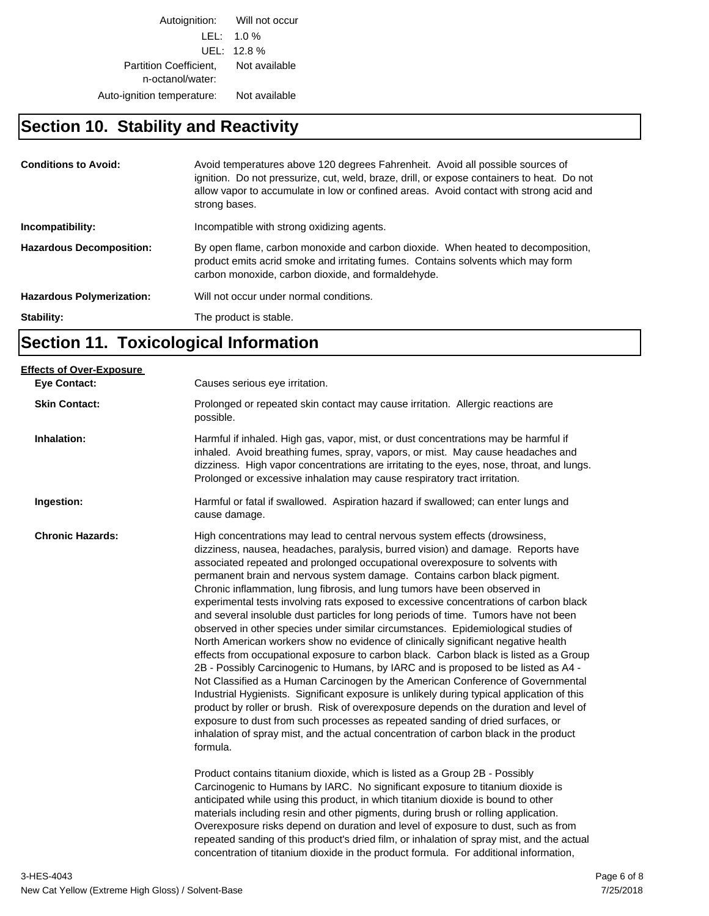Autoignition: Will not occur LEL: 1.0 % UEL: 12.8 % Partition Coefficient, Not available n-octanol/water: Auto-ignition temperature: Not available

#### **Section 10. Stability and Reactivity**

| <b>Conditions to Avoid:</b>      | Avoid temperatures above 120 degrees Fahrenheit. Avoid all possible sources of<br>ignition. Do not pressurize, cut, weld, braze, drill, or expose containers to heat. Do not<br>allow vapor to accumulate in low or confined areas. Avoid contact with strong acid and<br>strong bases. |
|----------------------------------|-----------------------------------------------------------------------------------------------------------------------------------------------------------------------------------------------------------------------------------------------------------------------------------------|
| Incompatibility:                 | Incompatible with strong oxidizing agents.                                                                                                                                                                                                                                              |
| <b>Hazardous Decomposition:</b>  | By open flame, carbon monoxide and carbon dioxide. When heated to decomposition,<br>product emits acrid smoke and irritating fumes. Contains solvents which may form<br>carbon monoxide, carbon dioxide, and formaldehyde.                                                              |
| <b>Hazardous Polymerization:</b> | Will not occur under normal conditions.                                                                                                                                                                                                                                                 |
| Stability:                       | The product is stable.                                                                                                                                                                                                                                                                  |

# **Section 11. Toxicological Information**

| Causes serious eye irritation.                                                                                                                                                                                                                                                                                                                                                                                                                                                                                                                                                                                                                                                                                                                                                                                                                                                                                                                                                                                                                                                                                                                                                                                                                                                                                                                                                                                                                                                                                                                                                        |
|---------------------------------------------------------------------------------------------------------------------------------------------------------------------------------------------------------------------------------------------------------------------------------------------------------------------------------------------------------------------------------------------------------------------------------------------------------------------------------------------------------------------------------------------------------------------------------------------------------------------------------------------------------------------------------------------------------------------------------------------------------------------------------------------------------------------------------------------------------------------------------------------------------------------------------------------------------------------------------------------------------------------------------------------------------------------------------------------------------------------------------------------------------------------------------------------------------------------------------------------------------------------------------------------------------------------------------------------------------------------------------------------------------------------------------------------------------------------------------------------------------------------------------------------------------------------------------------|
| Prolonged or repeated skin contact may cause irritation. Allergic reactions are<br>possible.                                                                                                                                                                                                                                                                                                                                                                                                                                                                                                                                                                                                                                                                                                                                                                                                                                                                                                                                                                                                                                                                                                                                                                                                                                                                                                                                                                                                                                                                                          |
| Harmful if inhaled. High gas, vapor, mist, or dust concentrations may be harmful if<br>inhaled. Avoid breathing fumes, spray, vapors, or mist. May cause headaches and<br>dizziness. High vapor concentrations are irritating to the eyes, nose, throat, and lungs.<br>Prolonged or excessive inhalation may cause respiratory tract irritation.                                                                                                                                                                                                                                                                                                                                                                                                                                                                                                                                                                                                                                                                                                                                                                                                                                                                                                                                                                                                                                                                                                                                                                                                                                      |
| Harmful or fatal if swallowed. Aspiration hazard if swallowed; can enter lungs and<br>cause damage.                                                                                                                                                                                                                                                                                                                                                                                                                                                                                                                                                                                                                                                                                                                                                                                                                                                                                                                                                                                                                                                                                                                                                                                                                                                                                                                                                                                                                                                                                   |
| High concentrations may lead to central nervous system effects (drowsiness,<br>dizziness, nausea, headaches, paralysis, burred vision) and damage. Reports have<br>associated repeated and prolonged occupational overexposure to solvents with<br>permanent brain and nervous system damage. Contains carbon black pigment.<br>Chronic inflammation, lung fibrosis, and lung tumors have been observed in<br>experimental tests involving rats exposed to excessive concentrations of carbon black<br>and several insoluble dust particles for long periods of time. Tumors have not been<br>observed in other species under similar circumstances. Epidemiological studies of<br>North American workers show no evidence of clinically significant negative health<br>effects from occupational exposure to carbon black. Carbon black is listed as a Group<br>2B - Possibly Carcinogenic to Humans, by IARC and is proposed to be listed as A4 -<br>Not Classified as a Human Carcinogen by the American Conference of Governmental<br>Industrial Hygienists. Significant exposure is unlikely during typical application of this<br>product by roller or brush. Risk of overexposure depends on the duration and level of<br>exposure to dust from such processes as repeated sanding of dried surfaces, or<br>inhalation of spray mist, and the actual concentration of carbon black in the product<br>formula.<br>Product contains titanium dioxide, which is listed as a Group 2B - Possibly<br>Carcinogenic to Humans by IARC. No significant exposure to titanium dioxide is |
| anticipated while using this product, in which titanium dioxide is bound to other<br>materials including resin and other pigments, during brush or rolling application.<br>Overexposure risks depend on duration and level of exposure to dust, such as from<br>repeated sanding of this product's dried film, or inhalation of spray mist, and the actual<br>concentration of titanium dioxide in the product formula. For additional information,                                                                                                                                                                                                                                                                                                                                                                                                                                                                                                                                                                                                                                                                                                                                                                                                                                                                                                                                                                                                                                                                                                                                   |
|                                                                                                                                                                                                                                                                                                                                                                                                                                                                                                                                                                                                                                                                                                                                                                                                                                                                                                                                                                                                                                                                                                                                                                                                                                                                                                                                                                                                                                                                                                                                                                                       |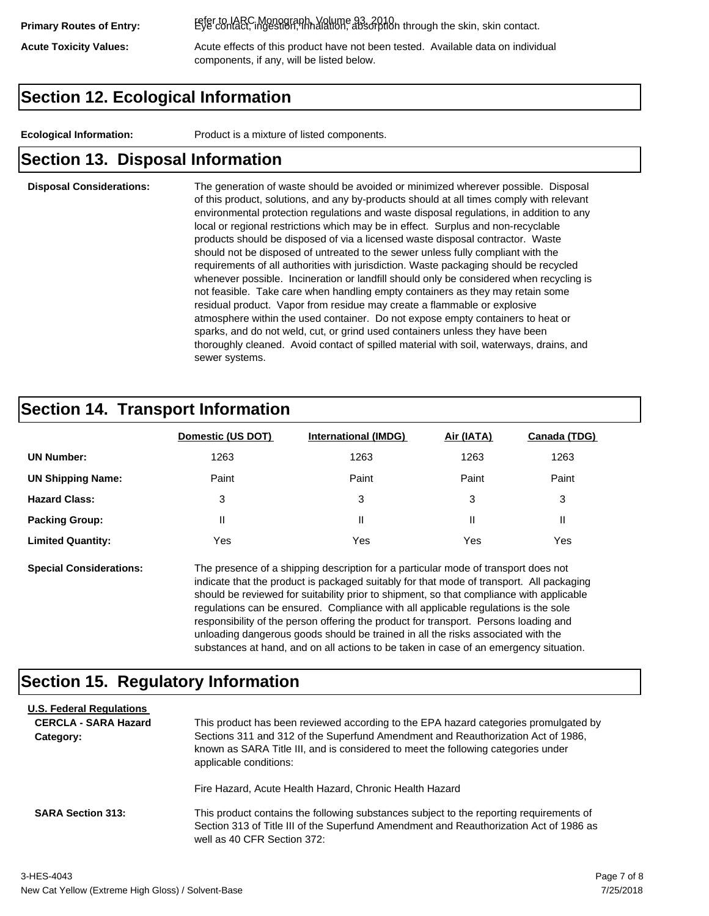refer to IARC Monograph, Volume 93, 2010. **Primary Routes of Entry:** Eye contact, ingestion, inhalation, absorption through the skin, skin contact.

Acute Toxicity Values: **Acute effects of this product have not been tested.** Available data on individual components, if any, will be listed below.

## **Section 12. Ecological Information**

**Ecological Information:** Product is a mixture of listed components.

#### **Section 13. Disposal Information**

#### **Disposal Considerations:** The generation of waste should be avoided or minimized wherever possible. Disposal of this product, solutions, and any by-products should at all times comply with relevant environmental protection regulations and waste disposal regulations, in addition to any local or regional restrictions which may be in effect. Surplus and non-recyclable products should be disposed of via a licensed waste disposal contractor. Waste should not be disposed of untreated to the sewer unless fully compliant with the requirements of all authorities with jurisdiction. Waste packaging should be recycled whenever possible. Incineration or landfill should only be considered when recycling is not feasible. Take care when handling empty containers as they may retain some residual product. Vapor from residue may create a flammable or explosive atmosphere within the used container. Do not expose empty containers to heat or sparks, and do not weld, cut, or grind used containers unless they have been thoroughly cleaned. Avoid contact of spilled material with soil, waterways, drains, and sewer systems.

### **Section 14. Transport Information**

|                          | Domestic (US DOT) | <b>International (IMDG)</b> | Air (IATA) | <b>Canada (TDG)</b> |
|--------------------------|-------------------|-----------------------------|------------|---------------------|
| <b>UN Number:</b>        | 1263              | 1263                        | 1263       | 1263                |
| <b>UN Shipping Name:</b> | Paint             | Paint                       | Paint      | Paint               |
| <b>Hazard Class:</b>     | 3                 | 3                           | 3          | 3                   |
| <b>Packing Group:</b>    | Ш                 | Ш                           |            |                     |
| <b>Limited Quantity:</b> | Yes               | Yes                         | Yes        | Yes                 |

**Special Considerations:** The presence of a shipping description for a particular mode of transport does not indicate that the product is packaged suitably for that mode of transport. All packaging should be reviewed for suitability prior to shipment, so that compliance with applicable regulations can be ensured. Compliance with all applicable regulations is the sole responsibility of the person offering the product for transport. Persons loading and unloading dangerous goods should be trained in all the risks associated with the substances at hand, and on all actions to be taken in case of an emergency situation.

#### **Section 15. Regulatory Information**

| <b>U.S. Federal Regulations</b><br><b>CERCLA - SARA Hazard</b><br>Category: | This product has been reviewed according to the EPA hazard categories promulgated by<br>Sections 311 and 312 of the Superfund Amendment and Reauthorization Act of 1986,<br>known as SARA Title III, and is considered to meet the following categories under<br>applicable conditions: |
|-----------------------------------------------------------------------------|-----------------------------------------------------------------------------------------------------------------------------------------------------------------------------------------------------------------------------------------------------------------------------------------|
| <b>SARA Section 313:</b>                                                    | Fire Hazard, Acute Health Hazard, Chronic Health Hazard<br>This product contains the following substances subject to the reporting requirements of<br>Section 313 of Title III of the Superfund Amendment and Reauthorization Act of 1986 as<br>well as 40 CFR Section 372:             |